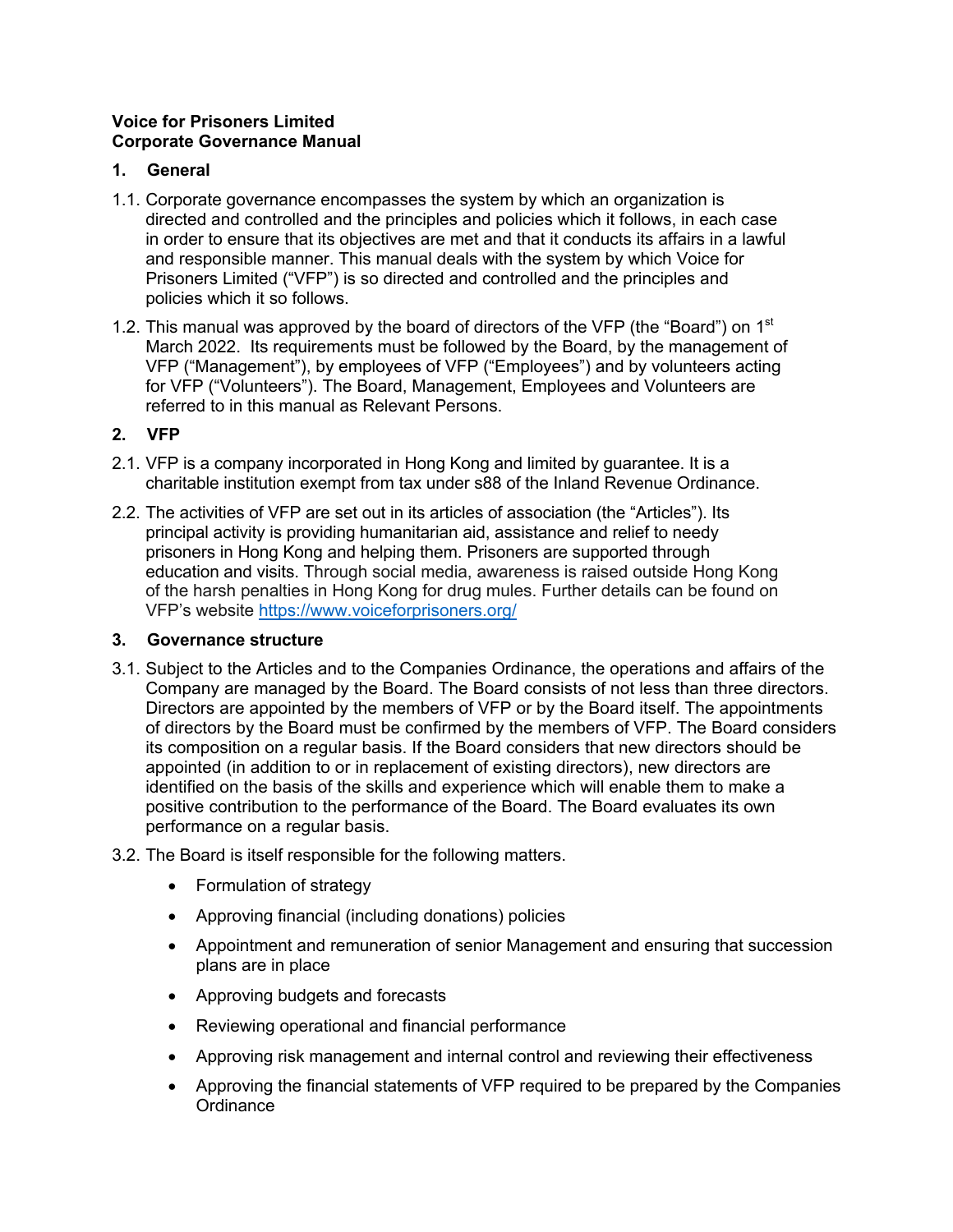## **Voice for Prisoners Limited Corporate Governance Manual**

## **1. General**

- 1.1. Corporate governance encompasses the system by which an organization is directed and controlled and the principles and policies which it follows, in each case in order to ensure that its objectives are met and that it conducts its affairs in a lawful and responsible manner. This manual deals with the system by which Voice for Prisoners Limited ("VFP") is so directed and controlled and the principles and policies which it so follows.
- 1.2. This manual was approved by the board of directors of the VFP (the "Board") on  $1<sup>st</sup>$ March 2022. Its requirements must be followed by the Board, by the management of VFP ("Management"), by employees of VFP ("Employees") and by volunteers acting for VFP ("Volunteers"). The Board, Management, Employees and Volunteers are referred to in this manual as Relevant Persons.

# **2. VFP**

- 2.1. VFP is a company incorporated in Hong Kong and limited by guarantee. It is a charitable institution exempt from tax under s88 of the Inland Revenue Ordinance.
- 2.2. The activities of VFP are set out in its articles of association (the "Articles"). Its principal activity is providing humanitarian aid, assistance and relief to needy prisoners in Hong Kong and helping them. Prisoners are supported through education and visits. Through social media, awareness is raised outside Hong Kong of the harsh penalties in Hong Kong for drug mules. Further details can be found on VFP's website https://www.voiceforprisoners.org/

# **3. Governance structure**

- 3.1. Subject to the Articles and to the Companies Ordinance, the operations and affairs of the Company are managed by the Board. The Board consists of not less than three directors. Directors are appointed by the members of VFP or by the Board itself. The appointments of directors by the Board must be confirmed by the members of VFP. The Board considers its composition on a regular basis. If the Board considers that new directors should be appointed (in addition to or in replacement of existing directors), new directors are identified on the basis of the skills and experience which will enable them to make a positive contribution to the performance of the Board. The Board evaluates its own performance on a regular basis.
- 3.2. The Board is itself responsible for the following matters.
	- Formulation of strategy
	- Approving financial (including donations) policies
	- Appointment and remuneration of senior Management and ensuring that succession plans are in place
	- Approving budgets and forecasts
	- Reviewing operational and financial performance
	- Approving risk management and internal control and reviewing their effectiveness
	- Approving the financial statements of VFP required to be prepared by the Companies **Ordinance**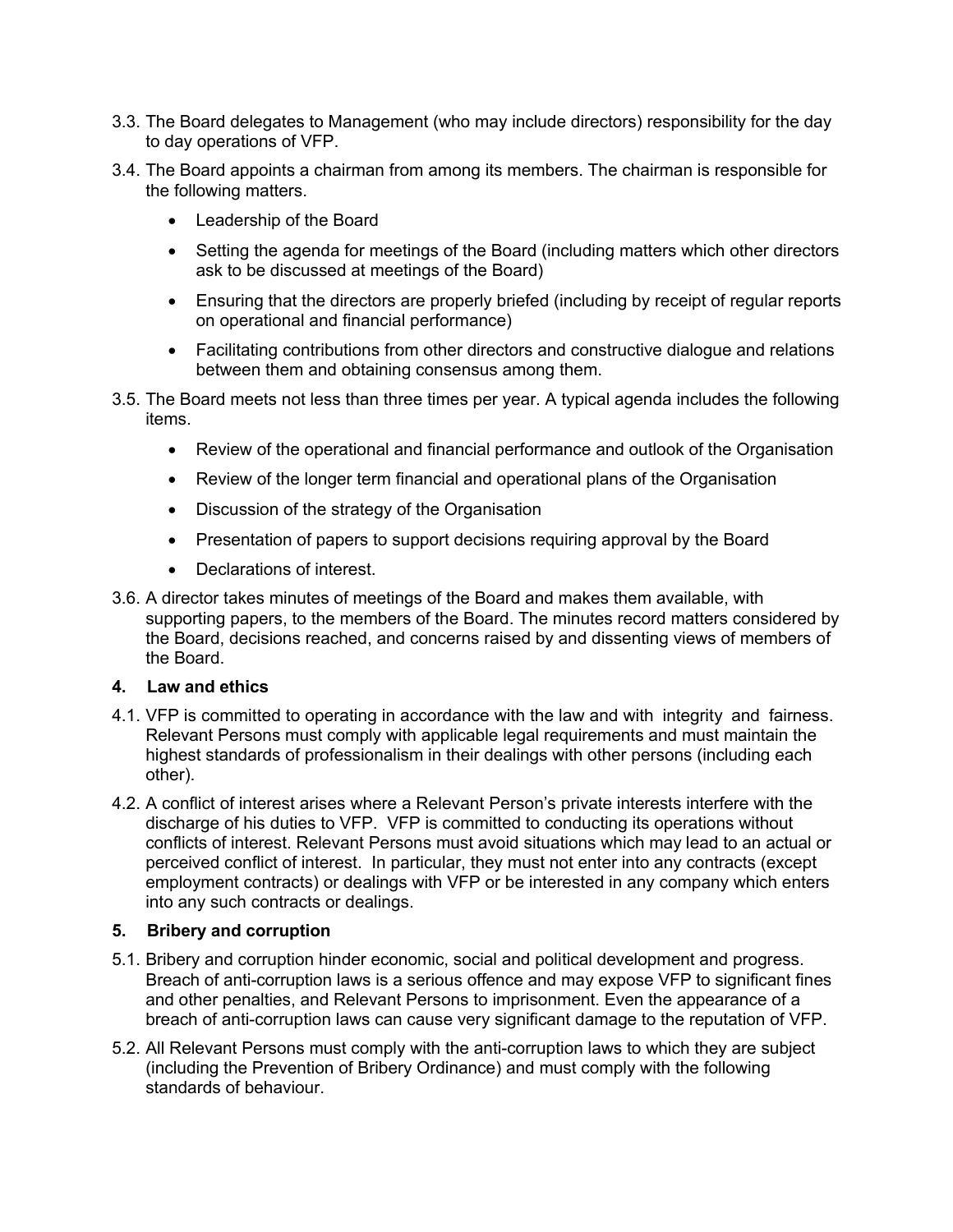- 3.3. The Board delegates to Management (who may include directors) responsibility for the day to day operations of VFP.
- 3.4. The Board appoints a chairman from among its members. The chairman is responsible for the following matters.
	- Leadership of the Board
	- Setting the agenda for meetings of the Board (including matters which other directors ask to be discussed at meetings of the Board)
	- Ensuring that the directors are properly briefed (including by receipt of regular reports on operational and financial performance)
	- Facilitating contributions from other directors and constructive dialogue and relations between them and obtaining consensus among them.
- 3.5. The Board meets not less than three times per year. A typical agenda includes the following items.
	- Review of the operational and financial performance and outlook of the Organisation
	- Review of the longer term financial and operational plans of the Organisation
	- Discussion of the strategy of the Organisation
	- Presentation of papers to support decisions requiring approval by the Board
	- Declarations of interest.
- 3.6. A director takes minutes of meetings of the Board and makes them available, with supporting papers, to the members of the Board. The minutes record matters considered by the Board, decisions reached, and concerns raised by and dissenting views of members of the Board.

## **4. Law and ethics**

- 4.1. VFP is committed to operating in accordance with the law and with integrity and fairness. Relevant Persons must comply with applicable legal requirements and must maintain the highest standards of professionalism in their dealings with other persons (including each other).
- 4.2. A conflict of interest arises where a Relevant Person's private interests interfere with the discharge of his duties to VFP. VFP is committed to conducting its operations without conflicts of interest. Relevant Persons must avoid situations which may lead to an actual or perceived conflict of interest. In particular, they must not enter into any contracts (except employment contracts) or dealings with VFP or be interested in any company which enters into any such contracts or dealings.

## **5. Bribery and corruption**

- 5.1. Bribery and corruption hinder economic, social and political development and progress. Breach of anti-corruption laws is a serious offence and may expose VFP to significant fines and other penalties, and Relevant Persons to imprisonment. Even the appearance of a breach of anti-corruption laws can cause very significant damage to the reputation of VFP.
- 5.2. All Relevant Persons must comply with the anti-corruption laws to which they are subject (including the Prevention of Bribery Ordinance) and must comply with the following standards of behaviour.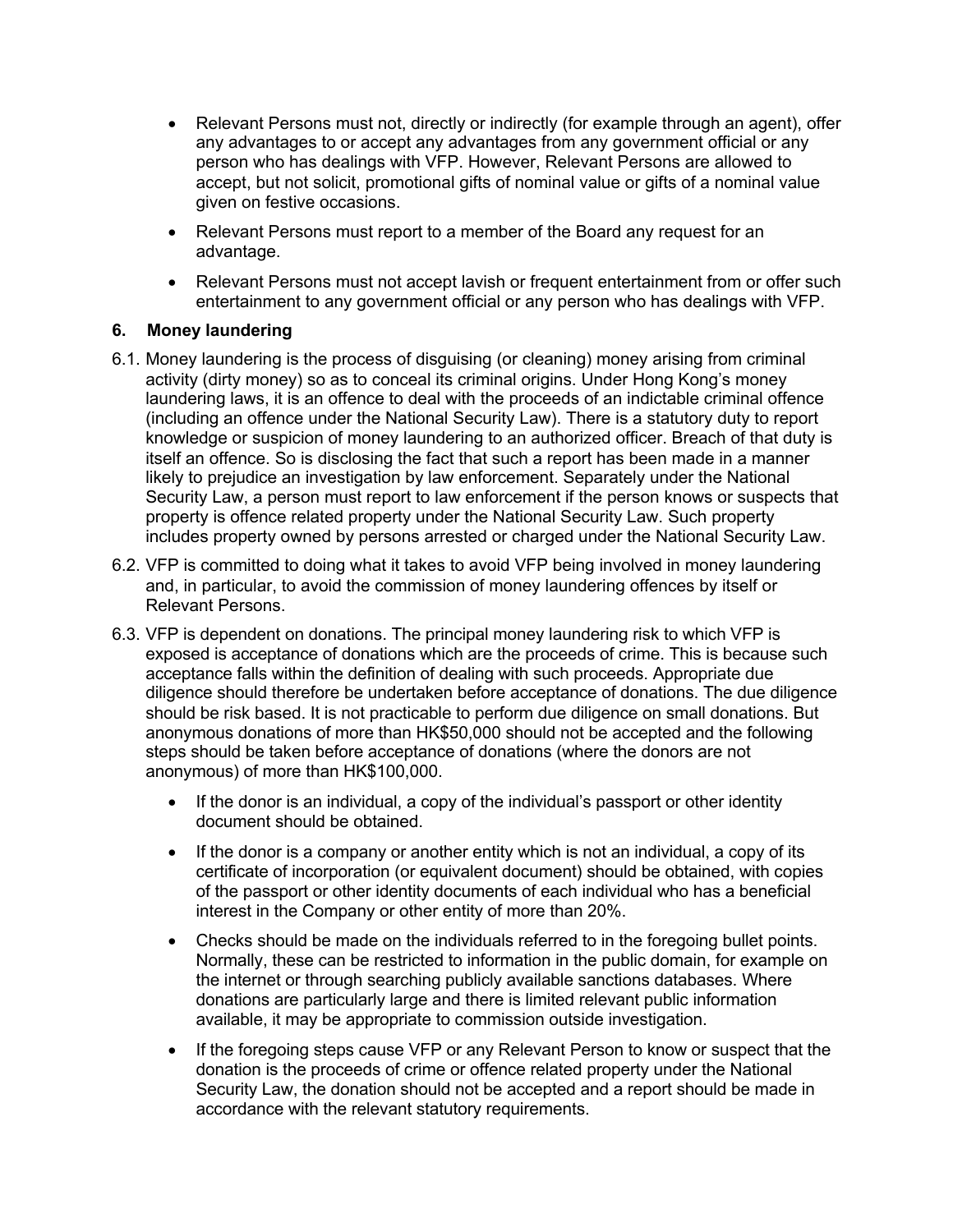- Relevant Persons must not, directly or indirectly (for example through an agent), offer any advantages to or accept any advantages from any government official or any person who has dealings with VFP. However, Relevant Persons are allowed to accept, but not solicit, promotional gifts of nominal value or gifts of a nominal value given on festive occasions.
- Relevant Persons must report to a member of the Board any request for an advantage.
- Relevant Persons must not accept lavish or frequent entertainment from or offer such entertainment to any government official or any person who has dealings with VFP.

## **6. Money laundering**

- 6.1. Money laundering is the process of disguising (or cleaning) money arising from criminal activity (dirty money) so as to conceal its criminal origins. Under Hong Kong's money laundering laws, it is an offence to deal with the proceeds of an indictable criminal offence (including an offence under the National Security Law). There is a statutory duty to report knowledge or suspicion of money laundering to an authorized officer. Breach of that duty is itself an offence. So is disclosing the fact that such a report has been made in a manner likely to prejudice an investigation by law enforcement. Separately under the National Security Law, a person must report to law enforcement if the person knows or suspects that property is offence related property under the National Security Law. Such property includes property owned by persons arrested or charged under the National Security Law.
- 6.2. VFP is committed to doing what it takes to avoid VFP being involved in money laundering and, in particular, to avoid the commission of money laundering offences by itself or Relevant Persons.
- 6.3. VFP is dependent on donations. The principal money laundering risk to which VFP is exposed is acceptance of donations which are the proceeds of crime. This is because such acceptance falls within the definition of dealing with such proceeds. Appropriate due diligence should therefore be undertaken before acceptance of donations. The due diligence should be risk based. It is not practicable to perform due diligence on small donations. But anonymous donations of more than HK\$50,000 should not be accepted and the following steps should be taken before acceptance of donations (where the donors are not anonymous) of more than HK\$100,000.
	- If the donor is an individual, a copy of the individual's passport or other identity document should be obtained.
	- If the donor is a company or another entity which is not an individual, a copy of its certificate of incorporation (or equivalent document) should be obtained, with copies of the passport or other identity documents of each individual who has a beneficial interest in the Company or other entity of more than 20%.
	- Checks should be made on the individuals referred to in the foregoing bullet points. Normally, these can be restricted to information in the public domain, for example on the internet or through searching publicly available sanctions databases. Where donations are particularly large and there is limited relevant public information available, it may be appropriate to commission outside investigation.
	- If the foregoing steps cause VFP or any Relevant Person to know or suspect that the donation is the proceeds of crime or offence related property under the National Security Law, the donation should not be accepted and a report should be made in accordance with the relevant statutory requirements.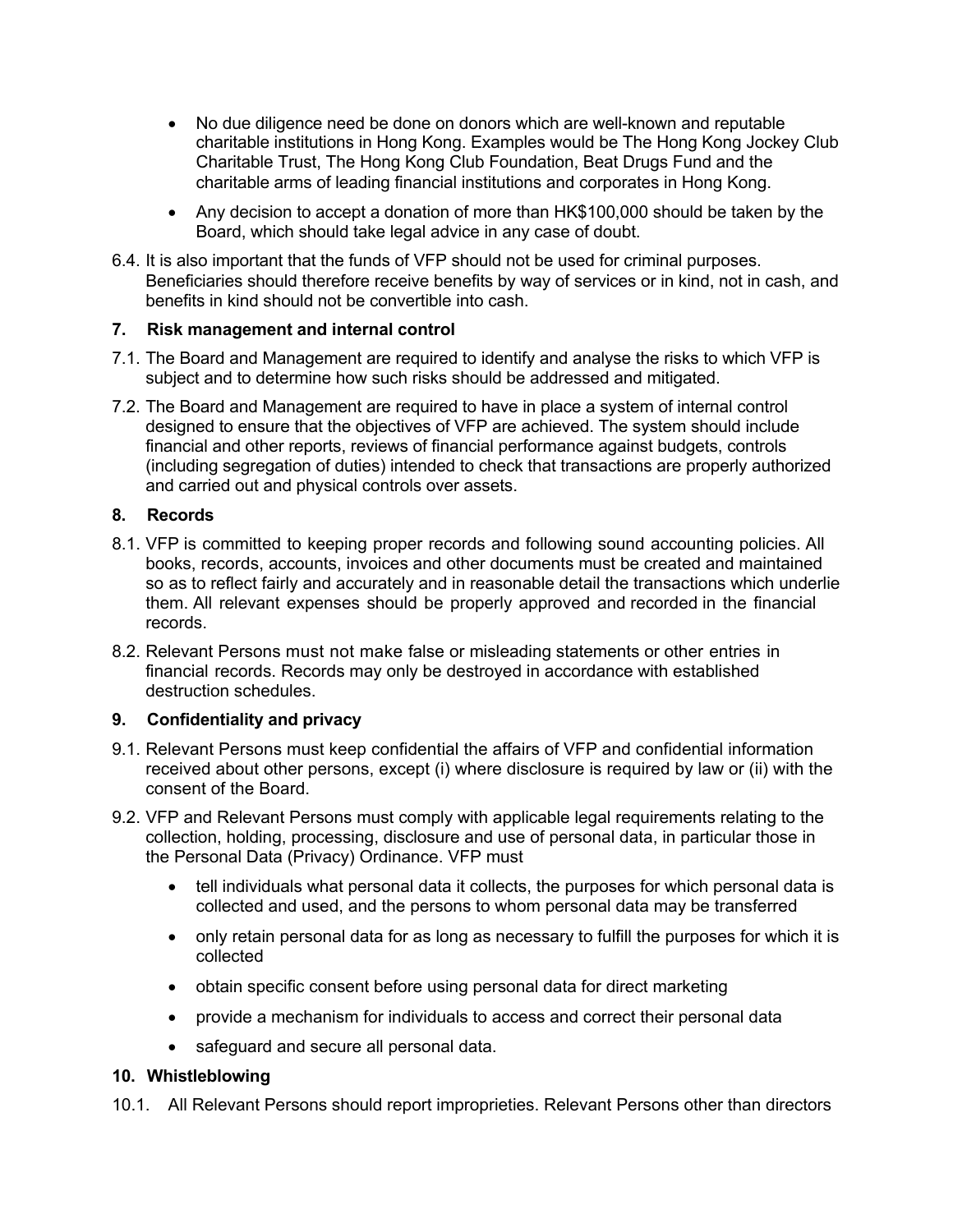- No due diligence need be done on donors which are well-known and reputable charitable institutions in Hong Kong. Examples would be The Hong Kong Jockey Club Charitable Trust, The Hong Kong Club Foundation, Beat Drugs Fund and the charitable arms of leading financial institutions and corporates in Hong Kong.
- Any decision to accept a donation of more than HK\$100,000 should be taken by the Board, which should take legal advice in any case of doubt.
- 6.4. It is also important that the funds of VFP should not be used for criminal purposes. Beneficiaries should therefore receive benefits by way of services or in kind, not in cash, and benefits in kind should not be convertible into cash.

## **7. Risk management and internal control**

- 7.1. The Board and Management are required to identify and analyse the risks to which VFP is subject and to determine how such risks should be addressed and mitigated.
- 7.2. The Board and Management are required to have in place a system of internal control designed to ensure that the objectives of VFP are achieved. The system should include financial and other reports, reviews of financial performance against budgets, controls (including segregation of duties) intended to check that transactions are properly authorized and carried out and physical controls over assets.

## **8. Records**

- 8.1. VFP is committed to keeping proper records and following sound accounting policies. All books, records, accounts, invoices and other documents must be created and maintained so as to reflect fairly and accurately and in reasonable detail the transactions which underlie them. All relevant expenses should be properly approved and recorded in the financial records.
- 8.2. Relevant Persons must not make false or misleading statements or other entries in financial records. Records may only be destroyed in accordance with established destruction schedules.

# **9. Confidentiality and privacy**

- 9.1. Relevant Persons must keep confidential the affairs of VFP and confidential information received about other persons, except (i) where disclosure is required by law or (ii) with the consent of the Board.
- 9.2. VFP and Relevant Persons must comply with applicable legal requirements relating to the collection, holding, processing, disclosure and use of personal data, in particular those in the Personal Data (Privacy) Ordinance. VFP must
	- tell individuals what personal data it collects, the purposes for which personal data is collected and used, and the persons to whom personal data may be transferred
	- only retain personal data for as long as necessary to fulfill the purposes for which it is collected
	- obtain specific consent before using personal data for direct marketing
	- provide a mechanism for individuals to access and correct their personal data
	- safeguard and secure all personal data.

## **10. Whistleblowing**

10.1. All Relevant Persons should report improprieties. Relevant Persons other than directors